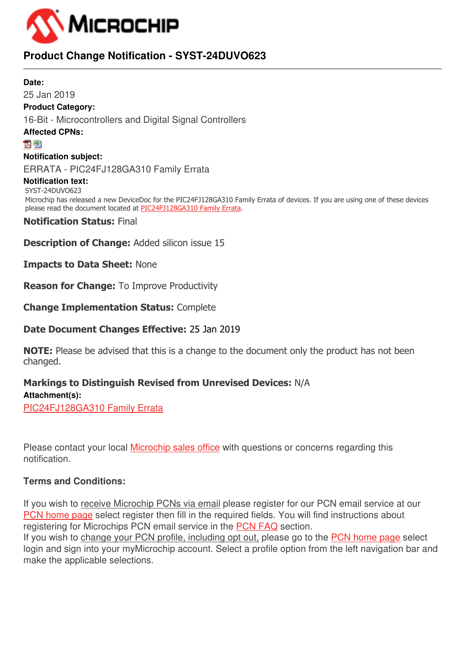

# **Product Change Notification - SYST-24DUVO623**

# **Date:** 25 Jan 2019 **Product Category:** 16-Bit - Microcontrollers and Digital Signal Controllers **Affected CPNs:** 內閣 **Notification subject:** ERRATA - PIC24FJ128GA310 Family Errata **Notification text:** SYST-24DUVO623 Microchip has released a new DeviceDoc for the PIC24FJ128GA310 Family Errata of devices. If you are using one of these devices please read the document located at [PIC24FJ128GA310 Family Errata](http://www.microchip.com/mymicrochip/filehandler.aspx?ddocname=en556472). **Notification Status:** Final

**Description of Change:** Added silicon issue 15

**Impacts to Data Sheet:** None

**Reason for Change:** To Improve Productivity

**Change Implementation Status:** Complete

# **Date Document Changes Effective:** 25 Jan 2019

**NOTE:** Please be advised that this is a change to the document only the product has not been changed.

# **Markings to Distinguish Revised from Unrevised Devices:** N/A **Attachment(s):** [PIC24FJ128GA310 Family Errata](https://www.microchip.com/mymicrochip/filehandler.aspx?ddocname=en556472)

Please contact your local [Microchip sales office](http://www.microchip.com/distributors/SalesHome.aspx) with questions or concerns regarding this notification.

# **Terms and Conditions:**

If you wish to receive Microchip PCNs via email please register for our PCN email service at our [PCN home page](http://www.microchip.com/pcn) select register then fill in the required fields. You will find instructions about registering for Microchips PCN email service in the [PCN FAQ](http://www.microchip.com/pcn/faqs) section.

If you wish to change your PCN profile, including opt out, please go to the [PCN home page](http://www.microchip.com/pcn) select login and sign into your myMicrochip account. Select a profile option from the left navigation bar and make the applicable selections.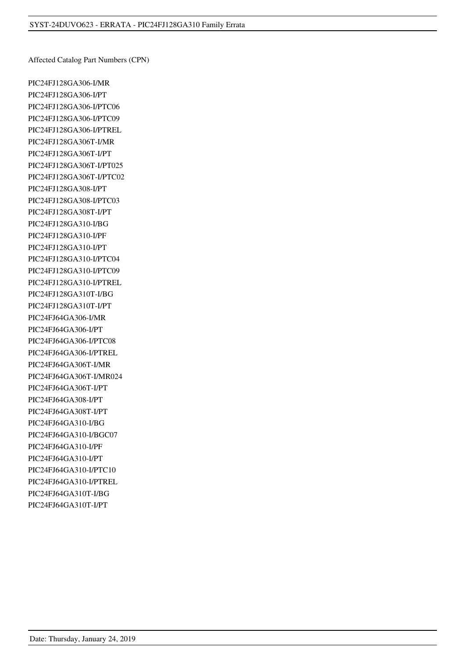Affected Catalog Part Numbers (CPN)

PIC24FJ128GA306-I/MR PIC24FJ128GA306-I/PT PIC24FJ128GA306-I/PTC06 PIC24FJ128GA306-I/PTC09 PIC24FJ128GA306-I/PTREL PIC24FJ128GA306T-I/MR PIC24FJ128GA306T-I/PT PIC24FJ128GA306T-I/PT025 PIC24FJ128GA306T-I/PTC02 PIC24FJ128GA308-I/PT PIC24FJ128GA308-I/PTC03 PIC24FJ128GA308T-I/PT PIC24FJ128GA310-I/BG PIC24FJ128GA310-I/PF PIC24FJ128GA310-I/PT PIC24FJ128GA310-I/PTC04 PIC24FJ128GA310-I/PTC09 PIC24FJ128GA310-I/PTREL PIC24FJ128GA310T-I/BG PIC24FJ128GA310T-I/PT PIC24FJ64GA306-I/MR PIC24FJ64GA306-I/PT PIC24FJ64GA306-I/PTC08 PIC24FJ64GA306-I/PTREL PIC24FJ64GA306T-I/MR PIC24FJ64GA306T-I/MR024 PIC24FJ64GA306T-I/PT PIC24FJ64GA308-I/PT PIC24FJ64GA308T-I/PT PIC24FJ64GA310-I/BG PIC24FJ64GA310-I/BGC07 PIC24FJ64GA310-I/PF PIC24FJ64GA310-I/PT PIC24FJ64GA310-I/PTC10 PIC24FJ64GA310-I/PTREL PIC24FJ64GA310T-I/BG PIC24FJ64GA310T-I/PT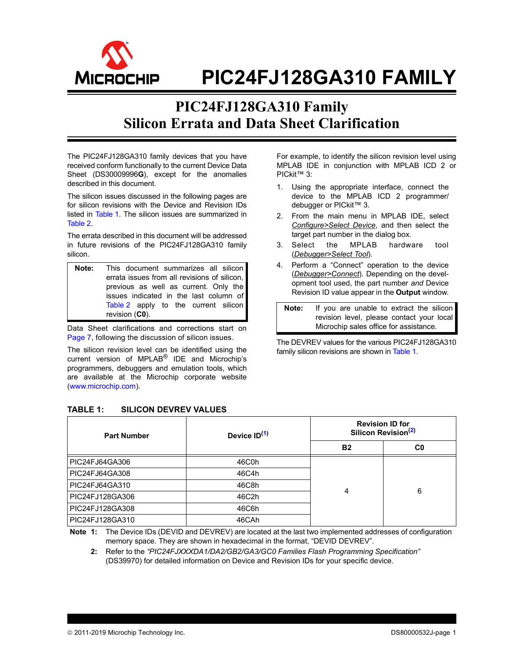

# **PIC24FJ128GA310 FAMILY**

# **PIC24FJ128GA310 Family Silicon Errata and Data Sheet Clarification**

The PIC24FJ128GA310 family devices that you have received conform functionally to the current Device Data Sheet (DS30009996**G**), except for the anomalies described in this document.

The silicon issues discussed in the following pages are for silicon revisions with the Device and Revision IDs listed in [Table 1](#page-2-0). The silicon issues are summarized in [Table 2](#page-3-0).

The errata described in this document will be addressed in future revisions of the PIC24FJ128GA310 family silicon.

**Note:** This document summarizes all silicon errata issues from all revisions of silicon, previous as well as current. Only the issues indicated in the last column of [Table 2](#page-3-0) apply to the current silicon revision (**C0**).

Data Sheet clarifications and corrections start on [Page 7](#page-8-0), following the discussion of silicon issues.

The silicon revision level can be identified using the current version of MPLAB® IDE and Microchip's programmers, debuggers and emulation tools, which are available at the Microchip corporate website (www.microchip.com).

For example, to identify the silicon revision level using MPLAB IDE in conjunction with MPLAB ICD 2 or PICkit™ 3:

- 1. Using the appropriate interface, connect the device to the MPLAB ICD 2 programmer/ debugger or PICkit<sup>™</sup> 3.
- 2. From the main menu in MPLAB IDE, select *Configure>Select Device*, and then select the target part number in the dialog box.
- 3. Select the MPLAB hardware tool (*Debugger>Select Tool*).
- 4. Perform a "Connect" operation to the device (*Debugger>Connect*). Depending on the development tool used, the part number *and* Device Revision ID value appear in the **Output** window.

**Note:** If you are unable to extract the silicon revision level, please contact your local Microchip sales office for assistance.

The DEVREV values for the various PIC24FJ128GA310 family silicon revisions are shown in [Table 1.](#page-2-0)

#### Part Number **Device ID**<sup>([1\)](#page-2-1)</sup> **Revision ID for Silicon Revision([2\)](#page-2-2) B2 C0** PIC24FJ64GA306 46C0h 4 6 PIC24FJ64GA308 46C4h PIC24FJ64GA310 | 46C8h PIC24FJ128GA306 46C2h PIC24FJ128GA308 46C6h PIC24FJ128GA310 46CAh

# <span id="page-2-0"></span>**TABLE 1: SILICON DEVREV VALUES**

<span id="page-2-2"></span><span id="page-2-1"></span>**Note 1:** The Device IDs (DEVID and DEVREV) are located at the last two implemented addresses of configuration memory space. They are shown in hexadecimal in the format, "DEVID DEVREV".

**2:** Refer to the *"PIC24FJXXXDA1/DA2/GB2/GA3/GC0 Families Flash Programming Specification"* (DS39970) for detailed information on Device and Revision IDs for your specific device.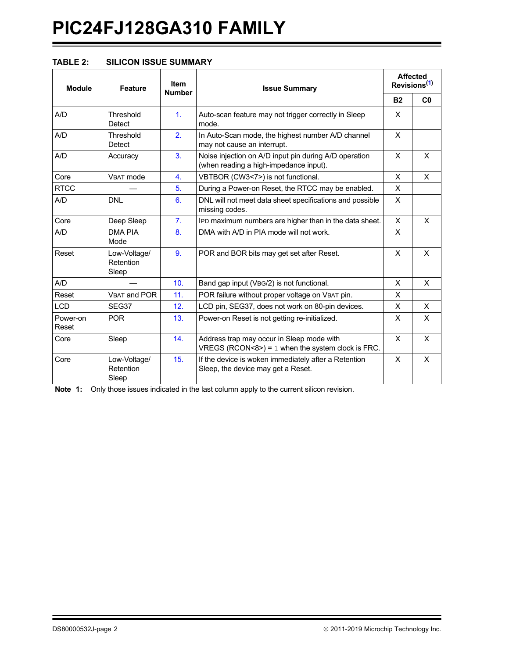# **PIC24FJ128GA310 FAMILY**

## <span id="page-3-0"></span>**TABLE 2: SILICON ISSUE SUMMARY**

| <b>Module</b>     | <b>Feature</b>                     | <b>Item</b><br><b>Number</b> | <b>Issue Summary</b>                                                                             |              | <b>Affected</b><br>Revisions <sup>(1)</sup> |
|-------------------|------------------------------------|------------------------------|--------------------------------------------------------------------------------------------------|--------------|---------------------------------------------|
|                   |                                    |                              |                                                                                                  | <b>B2</b>    | C <sub>0</sub>                              |
| A/D               | Threshold<br>Detect                | 1.                           | Auto-scan feature may not trigger correctly in Sleep<br>mode.                                    | X            |                                             |
| A/D               | Threshold<br>Detect                | 2.                           | In Auto-Scan mode, the highest number A/D channel<br>may not cause an interrupt.                 | X            |                                             |
| A/D               | Accuracy                           | 3 <sub>1</sub>               | Noise injection on A/D input pin during A/D operation<br>(when reading a high-impedance input).  | $\mathsf{x}$ | $\times$                                    |
| Core              | VBAT mode                          | $\overline{4}$ .             | VBTBOR (CW3<7>) is not functional.                                                               | $\times$     | X                                           |
| <b>RTCC</b>       |                                    | 5.                           | During a Power-on Reset, the RTCC may be enabled.                                                | X            |                                             |
| A/D               | <b>DNL</b>                         | 6.                           | DNL will not meet data sheet specifications and possible<br>missing codes.                       | X            |                                             |
| Core              | Deep Sleep                         | 7.                           | IPD maximum numbers are higher than in the data sheet.                                           | X            | X                                           |
| A/D               | <b>DMA PIA</b><br>Mode             | 8.                           | DMA with A/D in PIA mode will not work.                                                          | $\times$     |                                             |
| Reset             | Low-Voltage/<br>Retention<br>Sleep | 9.                           | POR and BOR bits may get set after Reset.                                                        | X            | $\mathsf{x}$                                |
| A/D               |                                    | 10 <sub>1</sub>              | Band gap input (VBG/2) is not functional.                                                        | $\times$     | X                                           |
| Reset             | <b>VBAT and POR</b>                | 11.                          | POR failure without proper voltage on VBAT pin.                                                  | X            |                                             |
| <b>LCD</b>        | SEG37                              | 12.                          | LCD pin, SEG37, does not work on 80-pin devices.                                                 | X            | X.                                          |
| Power-on<br>Reset | <b>POR</b>                         | 13.                          | Power-on Reset is not getting re-initialized.                                                    | X            | X                                           |
| Core              | Sleep                              | 14.                          | Address trap may occur in Sleep mode with<br>VREGS (RCON<8>) = $1$ when the system clock is FRC. | X            | X                                           |
| Core              | Low-Voltage/<br>Retention<br>Sleep | 15.                          | If the device is woken immediately after a Retention<br>Sleep, the device may get a Reset.       | X            | X                                           |

<span id="page-3-1"></span>**Note 1:** Only those issues indicated in the last column apply to the current silicon revision.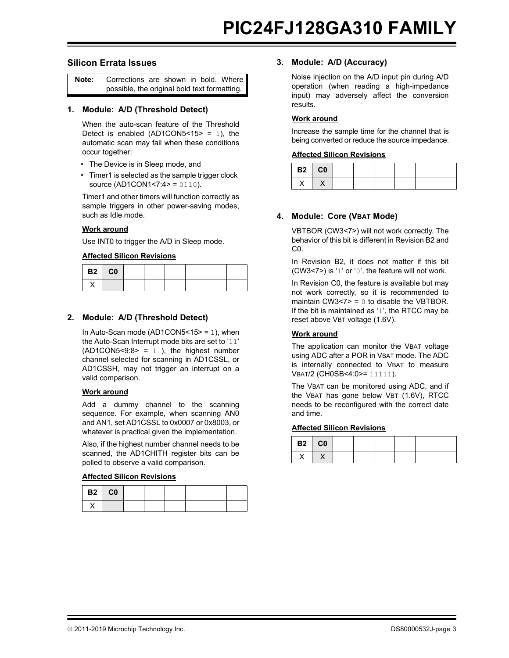#### **Silicon Errata Issues**

| Note: | Corrections are shown in bold. Where         |  |  |  |
|-------|----------------------------------------------|--|--|--|
|       | possible, the original bold text formatting. |  |  |  |

#### <span id="page-4-3"></span>**1. Module: A/D (Threshold Detect)**

When the auto-scan feature of the Threshold Detect is enabled (AD1CON5 <  $15$  > = 1), the automatic scan may fail when these conditions occur together:

- The Device is in Sleep mode, and
- Timer1 is selected as the sample trigger clock source (AD1CON1<7:4> = 0110).

Timer1 and other timers will function correctly as sample triggers in other power-saving modes, such as Idle mode.

#### **Work around**

Use INT0 to trigger the A/D in Sleep mode.

#### **Affected Silicon Revisions**

| B2   C0 |  |  |  |  |
|---------|--|--|--|--|
|         |  |  |  |  |

#### <span id="page-4-0"></span>**2. Module: A/D (Threshold Detect)**

In Auto-Scan mode (AD1CON5<15> = 1), when the Auto-Scan Interrupt mode bits are set to '11'  $(AD1CON5 < 9:8 > = 11)$ , the highest number channel selected for scanning in AD1CSSL, or AD1CSSH, may not trigger an interrupt on a valid comparison.

#### **Work around**

Add a dummy channel to the scanning sequence. For example, when scanning AN0 and AN1, set AD1CSSL to 0x0007 or 0x8003, or whatever is practical given the implementation.

Also, if the highest number channel needs to be scanned, the AD1CHITH register bits can be polled to observe a valid comparison.

#### **Affected Silicon Revisions**

| $B2$ $C0$ |  |  |  |
|-----------|--|--|--|
|           |  |  |  |

#### <span id="page-4-1"></span>**3. Module: A/D (Accuracy)**

Noise injection on the A/D input pin during A/D operation (when reading a high-impedance input) may adversely affect the conversion results.

#### **Work around**

Increase the sample time for the channel that is being converted or reduce the source impedance.

#### **Affected Silicon Revisions**

| $B2$ $C0$ |  |  |  |  |
|-----------|--|--|--|--|
|           |  |  |  |  |

#### <span id="page-4-2"></span>**4. Module: Core (VBAT Mode)**

VBTBOR (CW3<7>) will not work correctly. The behavior of this bit is different in Revision B2 and C0.

In Revision B2, it does not matter if this bit (CW3<7>) is '1' or '0', the feature will not work.

In Revision C0, the feature is available but may not work correctly, so it is recommended to maintain CW3<7> =  $0$  to disable the VBTBOR. If the bit is maintained as '1', the RTCC may be reset above VBT voltage (1.6V).

#### **Work around**

The application can monitor the VBAT voltage using ADC after a POR in VBAT mode. The ADC is internally connected to VBAT to measure VBAT/2 (CH0SB<4:0>= 11111).

The VBAT can be monitored using ADC, and if the VBAT has gone below VBT (1.6V), RTCC needs to be reconfigured with the correct date and time.

| B2 CO |  |  |  |  |
|-------|--|--|--|--|
| v     |  |  |  |  |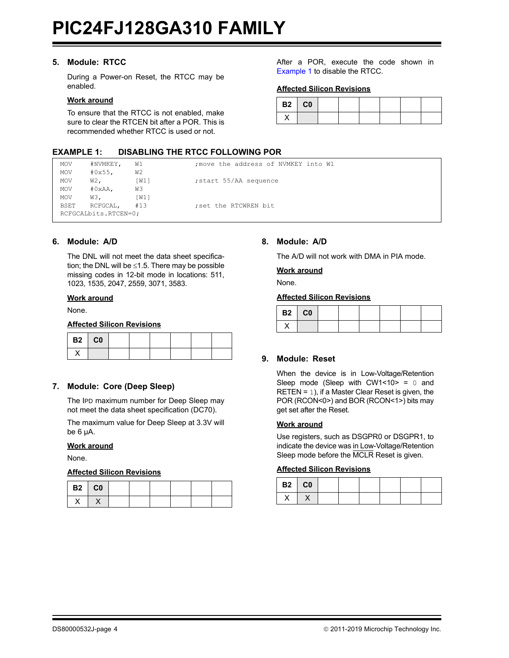#### <span id="page-5-0"></span>**5. Module: RTCC**

During a Power-on Reset, the RTCC may be enabled.

#### **Work around**

To ensure that the RTCC is not enabled, make sure to clear the RTCEN bit after a POR. This is recommended whether RTCC is used or not.

<span id="page-5-5"></span>**EXAMPLE 1: DISABLING THE RTCC FOLLOWING POR**

After a POR, execute the code shown in [Example 1](#page-5-5) to disable the RTCC.

#### **Affected Silicon Revisions**

| $B2$ $C0$ |  |  |  |
|-----------|--|--|--|
|           |  |  |  |

#### MOV #NVMKEY, W1 ;move the address of NVMKEY into W1 MOV #0x55, W2 MOV W2, [W1] ;start 55/AA sequence MOV #0xAA, W3 MOV W3, [W1] BSET RCFGCAL, #13 ;set the RTCWREN bit RCFGCALbits.RTCEN=0;

## <span id="page-5-1"></span>**6. Module: A/D**

The DNL will not meet the data sheet specification; the DNL will be  $\leq$ 1.5. There may be possible missing codes in 12-bit mode in locations: 511, 1023, 1535, 2047, 2559, 3071, 3583.

#### **Work around**

None.

#### **Affected Silicon Revisions**

| B2 CO |  |  |  |  |
|-------|--|--|--|--|
|       |  |  |  |  |

## <span id="page-5-2"></span>**7. Module: Core (Deep Sleep)**

The IPD maximum number for Deep Sleep may not meet the data sheet specification (DC70).

The maximum value for Deep Sleep at 3.3V will be 6 µA.

#### **Work around**

None.

#### **Affected Silicon Revisions**

| <b>B2</b> C0 |  |  |  |  |
|--------------|--|--|--|--|
|              |  |  |  |  |

#### <span id="page-5-3"></span>**8. Module: A/D**

The A/D will not work with DMA in PIA mode.

#### **Work around**

None.

#### **Affected Silicon Revisions**

| B2 CO |  |  |  |  |
|-------|--|--|--|--|
|       |  |  |  |  |

#### <span id="page-5-4"></span>**9. Module: Reset**

When the device is in Low-Voltage/Retention Sleep mode (Sleep with CW1<10> =  $0$  and RETEN = 1), if a Master Clear Reset is given, the POR (RCON<0>) and BOR (RCON<1>) bits may get set after the Reset.

#### **Work around**

Use registers, such as DSGPR0 or DSGPR1, to indicate the device was in Low-Voltage/Retention Sleep mode before the MCLR Reset is given.

| B2   CO |  |  |  |  |
|---------|--|--|--|--|
|         |  |  |  |  |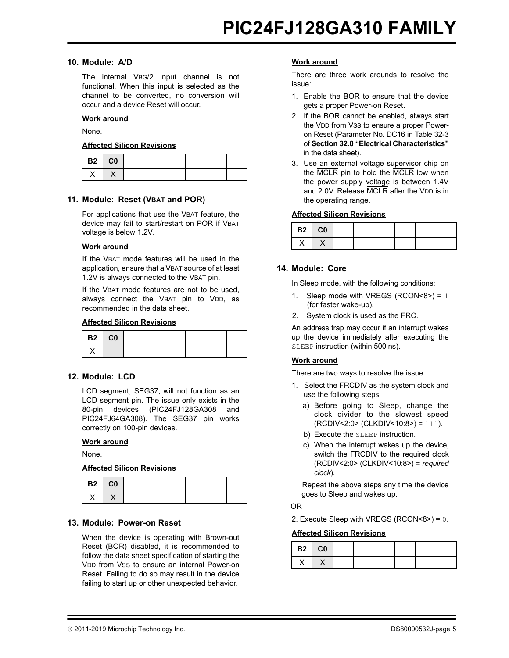#### <span id="page-6-3"></span>**10. Module: A/D**

The internal VBG/2 input channel is not functional. When this input is selected as the channel to be converted, no conversion will occur and a device Reset will occur.

#### **Work around**

None.

#### **Affected Silicon Revisions**

| <b>B2</b> C0 |  |  |  |  |
|--------------|--|--|--|--|
|              |  |  |  |  |

#### <span id="page-6-4"></span>**11. Module: Reset (VBAT and POR)**

For applications that use the VBAT feature, the device may fail to start/restart on POR if VBAT voltage is below 1.2V.

#### **Work around**

If the VBAT mode features will be used in the application, ensure that a VBAT source of at least 1.2V is always connected to the VBAT pin.

If the VBAT mode features are not to be used, always connect the VBAT pin to VDD, as recommended in the data sheet.

#### **Affected Silicon Revisions**

| <b>B2</b> C0 |  |  |  |  |
|--------------|--|--|--|--|
|              |  |  |  |  |

#### <span id="page-6-2"></span>**12. Module: LCD**

LCD segment, SEG37, will not function as an LCD segment pin. The issue only exists in the 80-pin devices (PIC24FJ128GA308 and PIC24FJ64GA308). The SEG37 pin works correctly on 100-pin devices.

#### **Work around**

None.

#### **Affected Silicon Revisions**

| B2 CO |  |  |  |  |
|-------|--|--|--|--|
|       |  |  |  |  |

#### <span id="page-6-0"></span>**13. Module: Power-on Reset**

When the device is operating with Brown-out Reset (BOR) disabled, it is recommended to follow the data sheet specification of starting the VDD from VSS to ensure an internal Power-on Reset. Failing to do so may result in the device failing to start up or other unexpected behavior.

#### **Work around**

There are three work arounds to resolve the issue:

- 1. Enable the BOR to ensure that the device gets a proper Power-on Reset.
- 2. If the BOR cannot be enabled, always start the VDD from VSS to ensure a proper Poweron Reset (Parameter No. DC16 in Table 32-3 of **Section 32.0 "Electrical Characteristics"** in the data sheet).
- 3. Use an external voltage supervisor chip on the MCLR pin to hold the MCLR low when the power supply voltage is between 1.4V and 2.0V. Release MCLR after the VDD is in the operating range.

#### **Affected Silicon Revisions**

| $B2$ $C0$ |  |  |  |
|-----------|--|--|--|
| . .       |  |  |  |

#### <span id="page-6-1"></span>**14. Module: Core**

In Sleep mode, with the following conditions:

- 1. Sleep mode with VREGS (RCON<8>) =  $1$ (for faster wake-up).
- 2. System clock is used as the FRC.

An address trap may occur if an interrupt wakes up the device immediately after executing the SLEEP instruction (within 500 ns).

#### **Work around**

There are two ways to resolve the issue:

- 1. Select the FRCDIV as the system clock and use the following steps:
	- a) Before going to Sleep, change the clock divider to the slowest speed (RCDIV<2:0> (CLKDIV<10:8>) = 111).
	- b) Execute the SLEEP instruction.
	- c) When the interrupt wakes up the device, switch the FRCDIV to the required clock (RCDIV<2:0> (CLKDIV<10:8>) = *required clock*).

Repeat the above steps any time the device goes to Sleep and wakes up.

OR

2. Execute Sleep with VREGS (RCON<8>) = 0.

| B2   C0 |  |  |  |  |
|---------|--|--|--|--|
|         |  |  |  |  |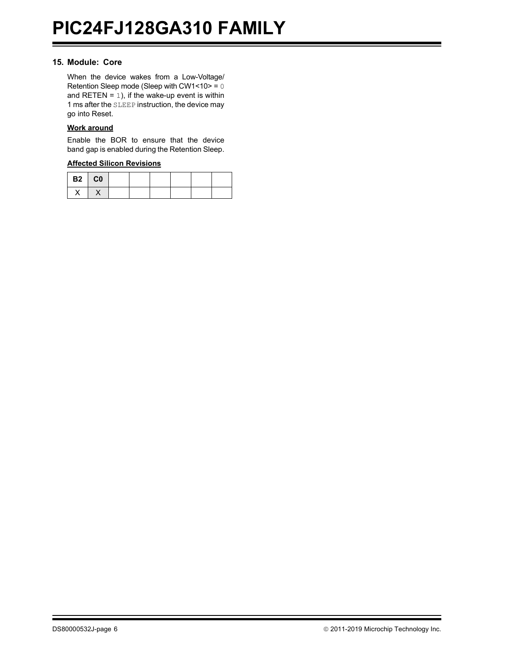#### <span id="page-7-0"></span>**15. Module: Core**

When the device wakes from a Low-Voltage/ Retention Sleep mode (Sleep with CW1<10> = 0 and RETEN =  $1$ ), if the wake-up event is within 1 ms after the SLEEP instruction, the device may go into Reset.

#### **Work around**

Enable the BOR to ensure that the device band gap is enabled during the Retention Sleep.

| $B2$ CO |  |  |  |  |
|---------|--|--|--|--|
|         |  |  |  |  |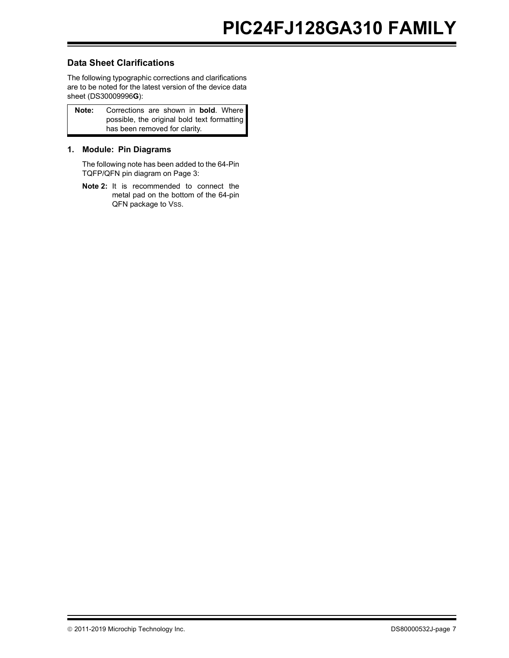## <span id="page-8-0"></span>**Data Sheet Clarifications**

The following typographic corrections and clarifications are to be noted for the latest version of the device data sheet (DS30009996**G**):

| Note: | Corrections are shown in <b>bold</b> . Where |
|-------|----------------------------------------------|
|       | possible, the original bold text formatting  |
|       | has been removed for clarity.                |

## <span id="page-8-1"></span>**1. Module: Pin Diagrams**

The following note has been added to the 64-Pin TQFP/QFN pin diagram on Page 3:

**Note 2:** It is recommended to connect the metal pad on the bottom of the 64-pin QFN package to Vss.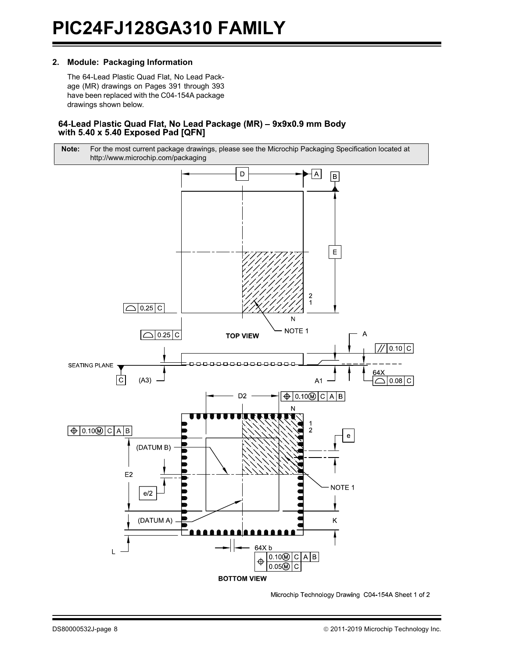#### <span id="page-9-0"></span>**2. Module: Packaging Information**

The 64-Lead Plastic Quad Flat, No Lead Package (MR) drawings on Pages 391 through 393 have been replaced with the C04-154A package drawings shown below.

#### 64-Lead Plastic Quad Flat, No Lead Package (MR) - 9x9x0.9 mm Body with 5.40 x 5.40 Exposed Pad [QFN]



Microchip Technology Drawing C04-154A Sheet 1 of 2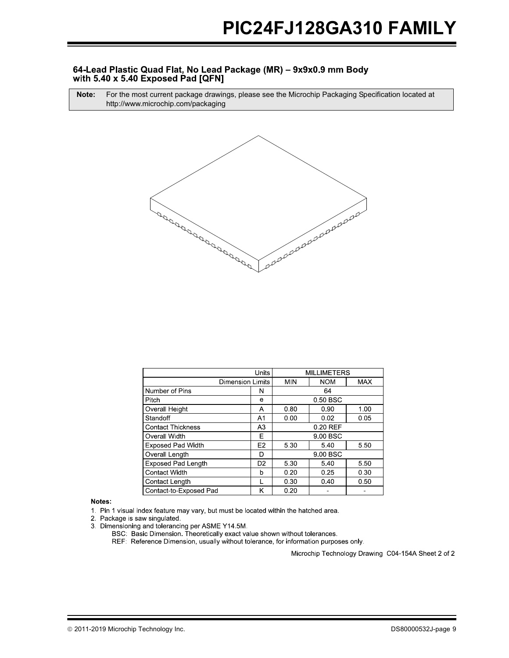#### 64-Lead Plastic Quad Flat, No Lead Package (MR) - 9x9x0.9 mm Body with 5.40 x 5.40 Exposed Pad [QFN]

**Note:** For the most current package drawings, please see the Microchip Packaging Specification located at http://www.microchip.com/packaging



|                           | Units          |            |            | <b>MILLIMETERS</b> |  |
|---------------------------|----------------|------------|------------|--------------------|--|
| <b>Dimension Limits</b>   | <b>MIN</b>     | <b>NOM</b> | <b>MAX</b> |                    |  |
| Number of Pins            | N              | 64         |            |                    |  |
| Pitch                     | е              |            | 0.50 BSC   |                    |  |
| Overall Height            | Α              | 0.80       | 0.90       | 1.00               |  |
| Standoff                  | A1             | 0.00       | 0.02       | 0.05               |  |
| <b>Contact Thickness</b>  | A <sub>3</sub> | 0.20 REF   |            |                    |  |
| Overall Width             | Ε              | 9.00 BSC   |            |                    |  |
| <b>Exposed Pad Width</b>  | E2             | 5.30       | 540        | 5.50               |  |
| Overall Length            | D              | 9 00 BSC   |            |                    |  |
| <b>Exposed Pad Length</b> | D <sub>2</sub> | 5.30       | 5.40       | 5.50               |  |
| <b>Contact Width</b>      | b              | 0.20       | 0.25       | 0.30               |  |
| Contact Length            |                | 0.30       | 0.40       | 0.50               |  |
| Contact-to-Exposed Pad    | κ              | 0.20       |            |                    |  |

Notes:

1. Pin 1 visual index feature may vary, but must be located within the hatched area.

2. Package is saw singulated.

3. Dimensioning and tolerancing per ASME Y14.5M.

BSC: Basic Dimension. Theoretically exact value shown without tolerances.

REF: Reference Dimension, usually without tolerance, for information purposes only.

Microchip Technology Drawing C04-154A Sheet 2 of 2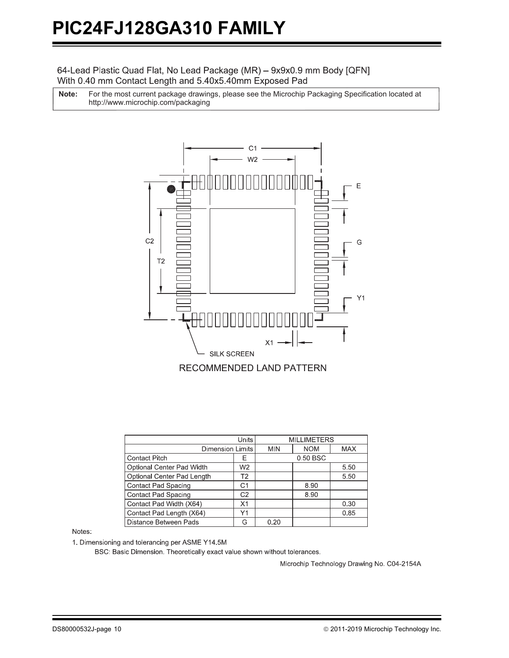## 64-Lead Plastic Quad Flat, No Lead Package (MR) - 9x9x0.9 mm Body [QFN] With 0.40 mm Contact Length and 5.40x5.40mm Exposed Pad

For the most current package drawings, please see the Microchip Packaging Specification located at http://www.microchip.com/packaging **Note:**



|                            | <b>MILLIMETERS</b> |            |            |      |  |
|----------------------------|--------------------|------------|------------|------|--|
| <b>Dimension Limits</b>    | <b>MIN</b>         | <b>NOM</b> | <b>MAX</b> |      |  |
| <b>Contact Pitch</b>       | E                  | 0.50 BSC   |            |      |  |
| Optional Center Pad Width  | W <sub>2</sub>     |            |            | 5.50 |  |
| Optional Center Pad Length | Τ2                 |            |            | 5.50 |  |
| Contact Pad Spacing        | C1                 |            | 8.90       |      |  |
| <b>Contact Pad Spacing</b> | C <sub>2</sub>     |            | 8.90       |      |  |
| Contact Pad Width (X64)    | X1                 |            |            | 0.30 |  |
| Contact Pad Length (X64)   | Υ1                 |            |            | 0.85 |  |
| Distance Between Pads      | G                  | 0.20       |            |      |  |

#### Notes:

1. Dimensioning and tolerancing per ASME Y14.5M

BSC: Basic Dimension. Theoretically exact value shown without tolerances.

Microchip Technology Drawing No. C04-2154A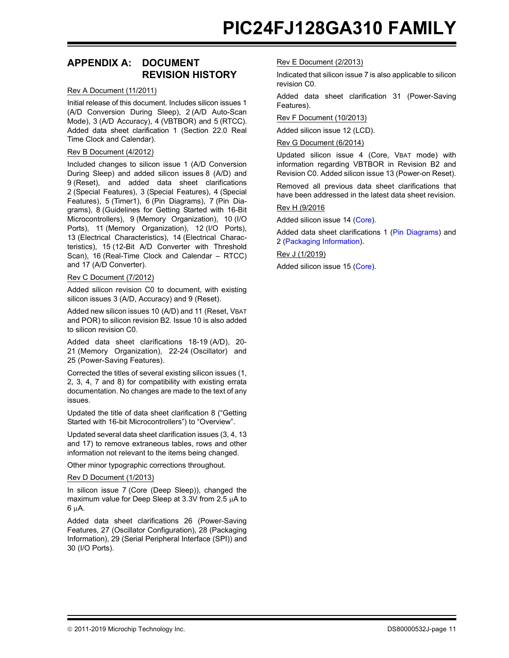# **APPENDIX A: DOCUMENT REVISION HISTORY**

#### Rev A Document (11/2011)

Initial release of this document. Includes silicon issues 1 (A/D Conversion During Sleep), 2 (A/D Auto-Scan Mode), 3 (A/D Accuracy), 4 (VBTBOR) and 5 (RTCC). Added data sheet clarification 1 (Section 22.0 Real Time Clock and Calendar).

#### Rev B Document (4/2012)

Included changes to silicon issue 1 (A/D Conversion During Sleep) and added silicon issues 8 (A/D) and 9 (Reset), and added data sheet clarifications 2 (Special Features), 3 (Special Features), 4 (Special Features), 5 (Timer1), 6 (Pin Diagrams), 7 (Pin Diagrams), 8 (Guidelines for Getting Started with 16-Bit Microcontrollers), 9 (Memory Organization), 10 (I/O Ports), 11 (Memory Organization), 12 (I/O Ports), 13 (Electrical Characteristics), 14 (Electrical Characteristics), 15 (12-Bit A/D Converter with Threshold Scan), 16 (Real-Time Clock and Calendar – RTCC) and 17 (A/D Converter).

#### Rev C Document (7/2012)

Added silicon revision C0 to document, with existing silicon issues 3 (A/D, Accuracy) and 9 (Reset).

Added new silicon issues 10 (A/D) and 11 (Reset, VBAT and POR) to silicon revision B2. Issue 10 is also added to silicon revision C0.

Added data sheet clarifications 18-19 (A/D), 20- 21 (Memory Organization), 22-24 (Oscillator) and 25 (Power-Saving Features).

Corrected the titles of several existing silicon issues (1, 2, 3, 4, 7 and 8) for compatibility with existing errata documentation. No changes are made to the text of any issues.

Updated the title of data sheet clarification 8 ("Getting Started with 16-bit Microcontrollers") to "Overview".

Updated several data sheet clarification issues (3, 4, 13 and 17) to remove extraneous tables, rows and other information not relevant to the items being changed.

Other minor typographic corrections throughout.

#### Rev D Document (1/2013)

In silicon issue 7 (Core (Deep Sleep)), changed the maximum value for Deep Sleep at 3.3V from 2.5  $\mu$ A to  $6 \mu A$ .

Added data sheet clarifications 26 (Power-Saving Features, 27 (Oscillator Configuration), 28 (Packaging Information), 29 (Serial Peripheral Interface (SPI)) and 30 (I/O Ports).

#### Rev E Document (2/2013)

Indicated that silicon issue 7 is also applicable to silicon revision C0.

Added data sheet clarification 31 (Power-Saving Features).

#### Rev F Document (10/2013)

Added silicon issue 12 (LCD).

#### Rev G Document (6/2014)

Updated silicon issue 4 (Core, VBAT mode) with information regarding VBTBOR in Revision B2 and Revision C0. Added silicon issue 13 (Power-on Reset).

Removed all previous data sheet clarifications that have been addressed in the latest data sheet revision.

#### Rev H (9/2016

Added silicon issue 14 ([Core](#page-6-1)).

Added data sheet clarifications 1 ([Pin Diagrams\)](#page-8-1) and 2 [\(Packaging Information\)](#page-9-0).

#### Rev J (1/2019)

Addedsilicon issue 15 ([Core](#page-7-0)).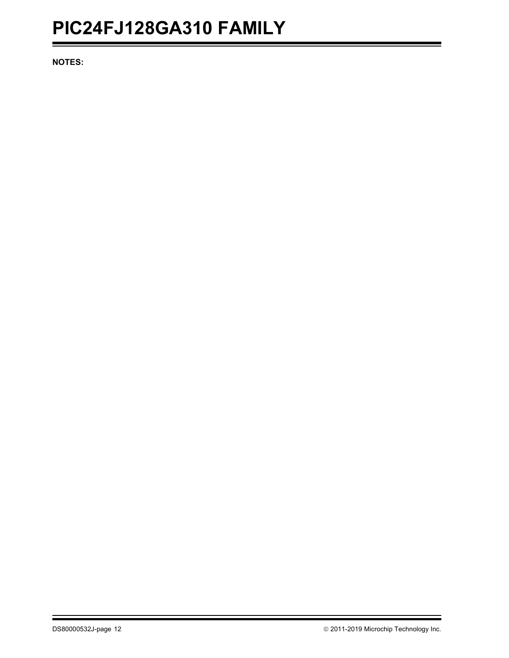# **PIC24FJ128GA310 FAMILY**

**NOTES:**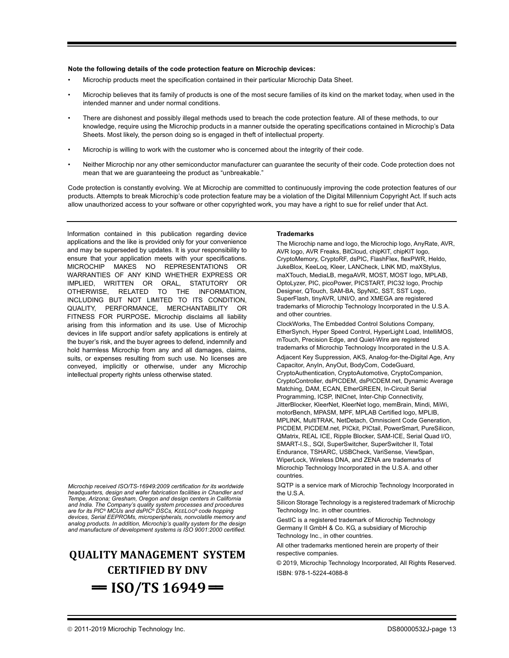#### **Note the following details of the code protection feature on Microchip devices:**

- Microchip products meet the specification contained in their particular Microchip Data Sheet.
- Microchip believes that its family of products is one of the most secure families of its kind on the market today, when used in the intended manner and under normal conditions.
- There are dishonest and possibly illegal methods used to breach the code protection feature. All of these methods, to our knowledge, require using the Microchip products in a manner outside the operating specifications contained in Microchip's Data Sheets. Most likely, the person doing so is engaged in theft of intellectual property.
- Microchip is willing to work with the customer who is concerned about the integrity of their code.
- Neither Microchip nor any other semiconductor manufacturer can guarantee the security of their code. Code protection does not mean that we are guaranteeing the product as "unbreakable."

Code protection is constantly evolving. We at Microchip are committed to continuously improving the code protection features of our products. Attempts to break Microchip's code protection feature may be a violation of the Digital Millennium Copyright Act. If such acts allow unauthorized access to your software or other copyrighted work, you may have a right to sue for relief under that Act.

Information contained in this publication regarding device applications and the like is provided only for your convenience and may be superseded by updates. It is your responsibility to ensure that your application meets with your specifications. MICROCHIP MAKES NO REPRESENTATIONS OR WARRANTIES OF ANY KIND WHETHER EXPRESS OR IMPLIED, WRITTEN OR ORAL, STATUTORY OR OTHERWISE, RELATED TO THE INFORMATION, INCLUDING BUT NOT LIMITED TO ITS CONDITION, QUALITY, PERFORMANCE, MERCHANTABILITY OR FITNESS FOR PURPOSE**.** Microchip disclaims all liability arising from this information and its use. Use of Microchip devices in life support and/or safety applications is entirely at the buyer's risk, and the buyer agrees to defend, indemnify and hold harmless Microchip from any and all damages, claims, suits, or expenses resulting from such use. No licenses are conveyed, implicitly or otherwise, under any Microchip intellectual property rights unless otherwise stated.

*Microchip received ISO/TS-16949:2009 certification for its worldwide headquarters, design and wafer fabrication facilities in Chandler and Tempe, Arizona; Gresham, Oregon and design centers in California and India. The Company's quality system processes and procedures are for its PIC® MCUs and dsPIC® DSCs, KEELOQ® code hopping devices, Serial EEPROMs, microperipherals, nonvolatile memory and analog products. In addition, Microchip's quality system for the design and manufacture of development systems is ISO 9001:2000 certified.*

# **QUALITY MANAGEMENT SYSTEM CERTIFIED BY DNV**   $=$  **ISO/TS 16949** $=$

#### **Trademarks**

The Microchip name and logo, the Microchip logo, AnyRate, AVR, AVR logo, AVR Freaks, BitCloud, chipKIT, chipKIT logo, CryptoMemory, CryptoRF, dsPIC, FlashFlex, flexPWR, Heldo, JukeBlox, KeeLoq, Kleer, LANCheck, LINK MD, maXStylus, maXTouch, MediaLB, megaAVR, MOST, MOST logo, MPLAB, OptoLyzer, PIC, picoPower, PICSTART, PIC32 logo, Prochip Designer, QTouch, SAM-BA, SpyNIC, SST, SST Logo, SuperFlash, tinyAVR, UNI/O, and XMEGA are registered trademarks of Microchip Technology Incorporated in the U.S.A. and other countries.

ClockWorks, The Embedded Control Solutions Company, EtherSynch, Hyper Speed Control, HyperLight Load, IntelliMOS, mTouch, Precision Edge, and Quiet-Wire are registered trademarks of Microchip Technology Incorporated in the U.S.A. Adjacent Key Suppression, AKS, Analog-for-the-Digital Age, Any Capacitor, AnyIn, AnyOut, BodyCom, CodeGuard, CryptoAuthentication, CryptoAutomotive, CryptoCompanion, CryptoController, dsPICDEM, dsPICDEM.net, Dynamic Average Matching, DAM, ECAN, EtherGREEN, In-Circuit Serial Programming, ICSP, INICnet, Inter-Chip Connectivity, JitterBlocker, KleerNet, KleerNet logo, memBrain, Mindi, MiWi, motorBench, MPASM, MPF, MPLAB Certified logo, MPLIB, MPLINK, MultiTRAK, NetDetach, Omniscient Code Generation, PICDEM, PICDEM.net, PICkit, PICtail, PowerSmart, PureSilicon, QMatrix, REAL ICE, Ripple Blocker, SAM-ICE, Serial Quad I/O, SMART-I.S., SQI, SuperSwitcher, SuperSwitcher II, Total Endurance, TSHARC, USBCheck, VariSense, ViewSpan, WiperLock, Wireless DNA, and ZENA are trademarks of Microchip Technology Incorporated in the U.S.A. and other countries.

SQTP is a service mark of Microchip Technology Incorporated in the U.S.A.

Silicon Storage Technology is a registered trademark of Microchip Technology Inc. in other countries.

GestIC is a registered trademark of Microchip Technology Germany II GmbH & Co. KG, a subsidiary of Microchip Technology Inc., in other countries.

All other trademarks mentioned herein are property of their respective companies.

© 2019, Microchip Technology Incorporated, All Rights Reserved. ISBN: 978-1-5224-4088-8

2011-2019 Microchip Technology Inc. DS80000532J-page 13